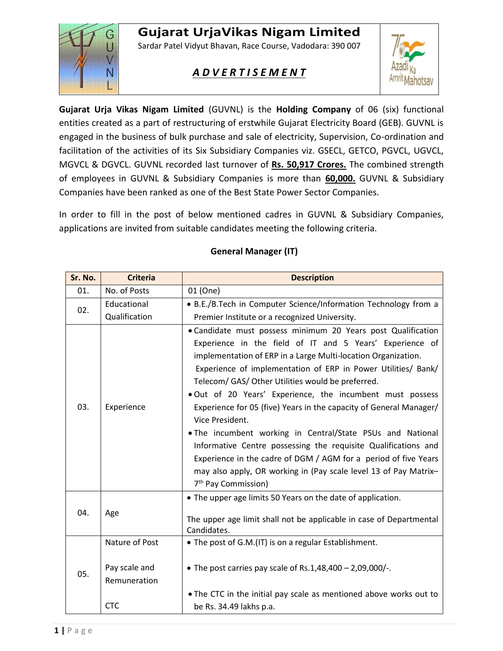# **Gujarat UrjaVikas Nigam Limited**



Sardar Patel Vidyut Bhavan, Race Course, Vadodara: 390 007

## *A D V E R T I S E M E N T*



**Gujarat Urja Vikas Nigam Limited** (GUVNL) is the **Holding Company** of 06 (six) functional entities created as a part of restructuring of erstwhile Gujarat Electricity Board (GEB). GUVNL is engaged in the business of bulk purchase and sale of electricity, Supervision, Co-ordination and facilitation of the activities of its Six Subsidiary Companies viz. GSECL, GETCO, PGVCL, UGVCL, MGVCL & DGVCL. GUVNL recorded last turnover of **Rs. 50,917 Crores.** The combined strength of employees in GUVNL & Subsidiary Companies is more than **60,000.** GUVNL & Subsidiary Companies have been ranked as one of the Best State Power Sector Companies.

In order to fill in the post of below mentioned cadres in GUVNL & Subsidiary Companies, applications are invited from suitable candidates meeting the following criteria.

| Sr. No. | <b>Criteria</b>               | <b>Description</b>                                                                                                                                                                                                                                                                                                                                                                                                                                                                                                                                                                                                                                                                                                                                                              |
|---------|-------------------------------|---------------------------------------------------------------------------------------------------------------------------------------------------------------------------------------------------------------------------------------------------------------------------------------------------------------------------------------------------------------------------------------------------------------------------------------------------------------------------------------------------------------------------------------------------------------------------------------------------------------------------------------------------------------------------------------------------------------------------------------------------------------------------------|
| 01.     | No. of Posts                  | 01 (One)                                                                                                                                                                                                                                                                                                                                                                                                                                                                                                                                                                                                                                                                                                                                                                        |
| 02.     | Educational                   | • B.E./B.Tech in Computer Science/Information Technology from a                                                                                                                                                                                                                                                                                                                                                                                                                                                                                                                                                                                                                                                                                                                 |
|         | Qualification                 | Premier Institute or a recognized University.                                                                                                                                                                                                                                                                                                                                                                                                                                                                                                                                                                                                                                                                                                                                   |
| 03.     | Experience                    | • Candidate must possess minimum 20 Years post Qualification<br>Experience in the field of IT and 5 Years' Experience of<br>implementation of ERP in a Large Multi-location Organization.<br>Experience of implementation of ERP in Power Utilities/ Bank/<br>Telecom/ GAS/ Other Utilities would be preferred.<br>. Out of 20 Years' Experience, the incumbent must possess<br>Experience for 05 (five) Years in the capacity of General Manager/<br>Vice President.<br>. The incumbent working in Central/State PSUs and National<br>Informative Centre possessing the requisite Qualifications and<br>Experience in the cadre of DGM / AGM for a period of five Years<br>may also apply, OR working in (Pay scale level 13 of Pay Matrix-<br>7 <sup>th</sup> Pay Commission) |
| 04.     | Age                           | • The upper age limits 50 Years on the date of application.<br>The upper age limit shall not be applicable in case of Departmental<br>Candidates.                                                                                                                                                                                                                                                                                                                                                                                                                                                                                                                                                                                                                               |
| 05.     | Nature of Post                | • The post of G.M.(IT) is on a regular Establishment.                                                                                                                                                                                                                                                                                                                                                                                                                                                                                                                                                                                                                                                                                                                           |
|         | Pay scale and<br>Remuneration | • The post carries pay scale of Rs.1,48,400 - 2,09,000/-.                                                                                                                                                                                                                                                                                                                                                                                                                                                                                                                                                                                                                                                                                                                       |
|         | <b>CTC</b>                    | . The CTC in the initial pay scale as mentioned above works out to<br>be Rs. 34.49 lakhs p.a.                                                                                                                                                                                                                                                                                                                                                                                                                                                                                                                                                                                                                                                                                   |

#### **General Manager (IT)**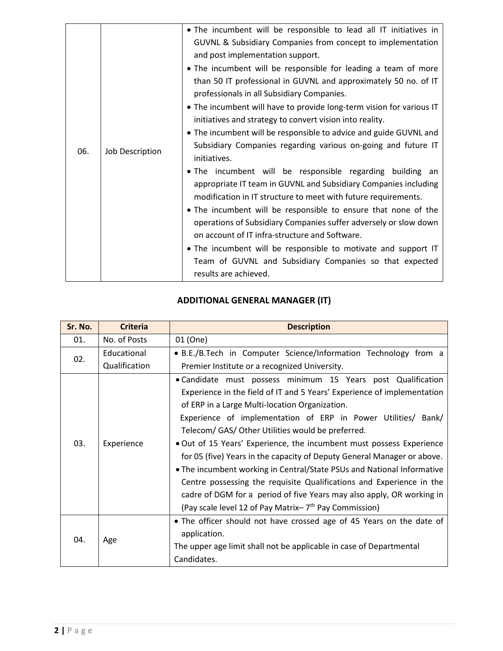|     |                 | • The incumbent will be responsible to lead all IT initiatives in<br>GUVNL & Subsidiary Companies from concept to implementation<br>and post implementation support.<br>• The incumbent will be responsible for leading a team of more<br>than 50 IT professional in GUVNL and approximately 50 no. of IT<br>professionals in all Subsidiary Companies.<br>• The incumbent will have to provide long-term vision for various IT<br>initiatives and strategy to convert vision into reality.<br>• The incumbent will be responsible to advice and guide GUVNL and<br>Subsidiary Companies regarding various on-going and future IT |
|-----|-----------------|-----------------------------------------------------------------------------------------------------------------------------------------------------------------------------------------------------------------------------------------------------------------------------------------------------------------------------------------------------------------------------------------------------------------------------------------------------------------------------------------------------------------------------------------------------------------------------------------------------------------------------------|
| 06. | Job Description | initiatives.<br>. The incumbent will be responsible regarding building an<br>appropriate IT team in GUVNL and Subsidiary Companies including<br>modification in IT structure to meet with future requirements.<br>• The incumbent will be responsible to ensure that none of the<br>operations of Subsidiary Companies suffer adversely or slow down<br>on account of IT infra-structure and Software.<br>• The incumbent will be responsible to motivate and support IT<br>Team of GUVNL and Subsidiary Companies so that expected<br>results are achieved.                                                                      |

## **ADDITIONAL GENERAL MANAGER (IT)**

| Sr. No. | <b>Criteria</b> | <b>Description</b>                                                                                                                                                                                                                                                                                                                                                                                                                                                                                                                                                                                                                                                                                                                                                 |
|---------|-----------------|--------------------------------------------------------------------------------------------------------------------------------------------------------------------------------------------------------------------------------------------------------------------------------------------------------------------------------------------------------------------------------------------------------------------------------------------------------------------------------------------------------------------------------------------------------------------------------------------------------------------------------------------------------------------------------------------------------------------------------------------------------------------|
| 01.     | No. of Posts    | 01 (One)                                                                                                                                                                                                                                                                                                                                                                                                                                                                                                                                                                                                                                                                                                                                                           |
| 02.     | Educational     | • B.E./B.Tech in Computer Science/Information Technology from a                                                                                                                                                                                                                                                                                                                                                                                                                                                                                                                                                                                                                                                                                                    |
|         | Qualification   | Premier Institute or a recognized University.                                                                                                                                                                                                                                                                                                                                                                                                                                                                                                                                                                                                                                                                                                                      |
| 03.     | Experience      | • Candidate must possess minimum 15 Years post Qualification<br>Experience in the field of IT and 5 Years' Experience of implementation<br>of ERP in a Large Multi-location Organization.<br>Experience of implementation of ERP in Power Utilities/ Bank/<br>Telecom/ GAS/ Other Utilities would be preferred.<br>. Out of 15 Years' Experience, the incumbent must possess Experience<br>for 05 (five) Years in the capacity of Deputy General Manager or above.<br>• The incumbent working in Central/State PSUs and National Informative<br>Centre possessing the requisite Qualifications and Experience in the<br>cadre of DGM for a period of five Years may also apply, OR working in<br>(Pay scale level 12 of Pay Matrix-7 <sup>th</sup> Pay Commission) |
| 04.     | Age             | • The officer should not have crossed age of 45 Years on the date of<br>application.<br>The upper age limit shall not be applicable in case of Departmental<br>Candidates.                                                                                                                                                                                                                                                                                                                                                                                                                                                                                                                                                                                         |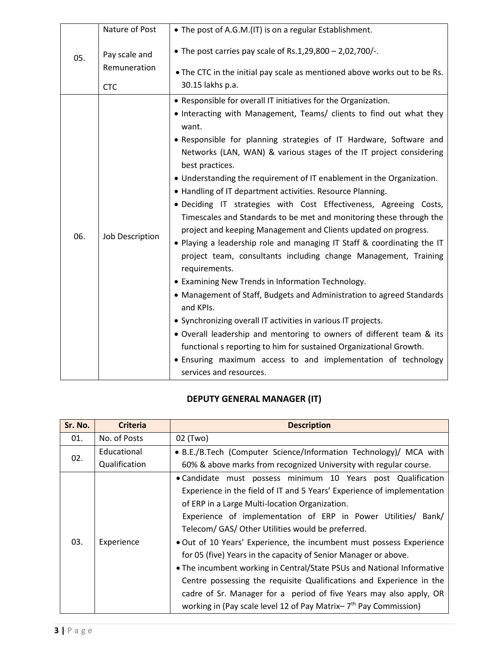| 05. | Nature of Post                | • The post of A.G.M.(IT) is on a regular Establishment.                                                                                                                                                                                                                                                                                                                                                                                                                                                                                                                                                                                                                                                                                                                                                                                                                                                                                                                                                                                                                                                                                                                                                                                                                                  |
|-----|-------------------------------|------------------------------------------------------------------------------------------------------------------------------------------------------------------------------------------------------------------------------------------------------------------------------------------------------------------------------------------------------------------------------------------------------------------------------------------------------------------------------------------------------------------------------------------------------------------------------------------------------------------------------------------------------------------------------------------------------------------------------------------------------------------------------------------------------------------------------------------------------------------------------------------------------------------------------------------------------------------------------------------------------------------------------------------------------------------------------------------------------------------------------------------------------------------------------------------------------------------------------------------------------------------------------------------|
|     | Pay scale and<br>Remuneration | • The post carries pay scale of Rs.1,29,800 - 2,02,700/-.<br>• The CTC in the initial pay scale as mentioned above works out to be Rs.                                                                                                                                                                                                                                                                                                                                                                                                                                                                                                                                                                                                                                                                                                                                                                                                                                                                                                                                                                                                                                                                                                                                                   |
|     | <b>CTC</b>                    | 30.15 lakhs p.a.                                                                                                                                                                                                                                                                                                                                                                                                                                                                                                                                                                                                                                                                                                                                                                                                                                                                                                                                                                                                                                                                                                                                                                                                                                                                         |
| 06. | Job Description               | • Responsible for overall IT initiatives for the Organization.<br>• Interacting with Management, Teams/ clients to find out what they<br>want.<br>. Responsible for planning strategies of IT Hardware, Software and<br>Networks (LAN, WAN) & various stages of the IT project considering<br>best practices.<br>• Understanding the requirement of IT enablement in the Organization.<br>• Handling of IT department activities. Resource Planning.<br>· Deciding IT strategies with Cost Effectiveness, Agreeing Costs,<br>Timescales and Standards to be met and monitoring these through the<br>project and keeping Management and Clients updated on progress.<br>. Playing a leadership role and managing IT Staff & coordinating the IT<br>project team, consultants including change Management, Training<br>requirements.<br>• Examining New Trends in Information Technology.<br>• Management of Staff, Budgets and Administration to agreed Standards<br>and KPIs.<br>• Synchronizing overall IT activities in various IT projects.<br>• Overall leadership and mentoring to owners of different team & its<br>functional s reporting to him for sustained Organizational Growth.<br>• Ensuring maximum access to and implementation of technology<br>services and resources. |

## **DEPUTY GENERAL MANAGER (IT)**

| Sr. No. | <b>Criteria</b> | <b>Description</b>                                                                                                                                                                                                                                                                                                                                                                                                                                                                                                                                                                                                                                                                                                                                        |
|---------|-----------------|-----------------------------------------------------------------------------------------------------------------------------------------------------------------------------------------------------------------------------------------------------------------------------------------------------------------------------------------------------------------------------------------------------------------------------------------------------------------------------------------------------------------------------------------------------------------------------------------------------------------------------------------------------------------------------------------------------------------------------------------------------------|
| 01.     | No. of Posts    | 02 (Two)                                                                                                                                                                                                                                                                                                                                                                                                                                                                                                                                                                                                                                                                                                                                                  |
|         | Educational     | • B.E./B.Tech (Computer Science/Information Technology)/ MCA with                                                                                                                                                                                                                                                                                                                                                                                                                                                                                                                                                                                                                                                                                         |
| 02.     | Qualification   | 60% & above marks from recognized University with regular course.                                                                                                                                                                                                                                                                                                                                                                                                                                                                                                                                                                                                                                                                                         |
| 03.     | Experience      | . Candidate must possess minimum 10 Years post Qualification<br>Experience in the field of IT and 5 Years' Experience of implementation<br>of ERP in a Large Multi-location Organization.<br>Experience of implementation of ERP in Power Utilities/ Bank/<br>Telecom/ GAS/ Other Utilities would be preferred.<br>. Out of 10 Years' Experience, the incumbent must possess Experience<br>for 05 (five) Years in the capacity of Senior Manager or above.<br>• The incumbent working in Central/State PSUs and National Informative<br>Centre possessing the requisite Qualifications and Experience in the<br>cadre of Sr. Manager for a period of five Years may also apply, OR<br>working in (Pay scale level 12 of Pay Matrix- $7th$ Pay Commission) |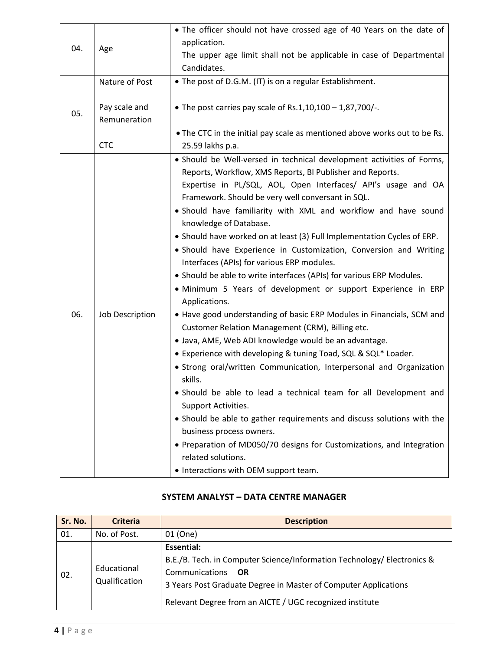| 04. | Age                           | • The officer should not have crossed age of 40 Years on the date of                                                                                                                                                                                                                                                                                                                                                                                                                                                                                                                                                                                                                                                                                                                                                                                                                                                                                                                                                                                                                                                                                                                                                                                                                                                                                                                             |
|-----|-------------------------------|--------------------------------------------------------------------------------------------------------------------------------------------------------------------------------------------------------------------------------------------------------------------------------------------------------------------------------------------------------------------------------------------------------------------------------------------------------------------------------------------------------------------------------------------------------------------------------------------------------------------------------------------------------------------------------------------------------------------------------------------------------------------------------------------------------------------------------------------------------------------------------------------------------------------------------------------------------------------------------------------------------------------------------------------------------------------------------------------------------------------------------------------------------------------------------------------------------------------------------------------------------------------------------------------------------------------------------------------------------------------------------------------------|
|     |                               | application.                                                                                                                                                                                                                                                                                                                                                                                                                                                                                                                                                                                                                                                                                                                                                                                                                                                                                                                                                                                                                                                                                                                                                                                                                                                                                                                                                                                     |
|     |                               | The upper age limit shall not be applicable in case of Departmental<br>Candidates.                                                                                                                                                                                                                                                                                                                                                                                                                                                                                                                                                                                                                                                                                                                                                                                                                                                                                                                                                                                                                                                                                                                                                                                                                                                                                                               |
|     | Nature of Post                | • The post of D.G.M. (IT) is on a regular Establishment.                                                                                                                                                                                                                                                                                                                                                                                                                                                                                                                                                                                                                                                                                                                                                                                                                                                                                                                                                                                                                                                                                                                                                                                                                                                                                                                                         |
|     |                               |                                                                                                                                                                                                                                                                                                                                                                                                                                                                                                                                                                                                                                                                                                                                                                                                                                                                                                                                                                                                                                                                                                                                                                                                                                                                                                                                                                                                  |
| 05. | Pay scale and<br>Remuneration | • The post carries pay scale of Rs.1,10,100 - 1,87,700/-.                                                                                                                                                                                                                                                                                                                                                                                                                                                                                                                                                                                                                                                                                                                                                                                                                                                                                                                                                                                                                                                                                                                                                                                                                                                                                                                                        |
|     |                               | . The CTC in the initial pay scale as mentioned above works out to be Rs.                                                                                                                                                                                                                                                                                                                                                                                                                                                                                                                                                                                                                                                                                                                                                                                                                                                                                                                                                                                                                                                                                                                                                                                                                                                                                                                        |
|     | <b>CTC</b>                    | 25.59 lakhs p.a.                                                                                                                                                                                                                                                                                                                                                                                                                                                                                                                                                                                                                                                                                                                                                                                                                                                                                                                                                                                                                                                                                                                                                                                                                                                                                                                                                                                 |
| 06. | Job Description               | · Should be Well-versed in technical development activities of Forms,<br>Reports, Workflow, XMS Reports, BI Publisher and Reports.<br>Expertise in PL/SQL, AOL, Open Interfaces/ API's usage and OA<br>Framework. Should be very well conversant in SQL.<br>. Should have familiarity with XML and workflow and have sound<br>knowledge of Database.<br>• Should have worked on at least (3) Full Implementation Cycles of ERP.<br>· Should have Experience in Customization, Conversion and Writing<br>Interfaces (APIs) for various ERP modules.<br>• Should be able to write interfaces (APIs) for various ERP Modules.<br>· Minimum 5 Years of development or support Experience in ERP<br>Applications.<br>• Have good understanding of basic ERP Modules in Financials, SCM and<br>Customer Relation Management (CRM), Billing etc.<br>· Java, AME, Web ADI knowledge would be an advantage.<br>• Experience with developing & tuning Toad, SQL & SQL* Loader.<br>• Strong oral/written Communication, Interpersonal and Organization<br>skills.<br>· Should be able to lead a technical team for all Development and<br>Support Activities.<br>• Should be able to gather requirements and discuss solutions with the<br>business process owners.<br>• Preparation of MD050/70 designs for Customizations, and Integration<br>related solutions.<br>• Interactions with OEM support team. |

#### **SYSTEM ANALYST – DATA CENTRE MANAGER**

| Sr. No. | <b>Criteria</b>              | <b>Description</b>                                                                                                                                                                                                                             |
|---------|------------------------------|------------------------------------------------------------------------------------------------------------------------------------------------------------------------------------------------------------------------------------------------|
| 01.     | No. of Post.                 | 01 (One)                                                                                                                                                                                                                                       |
| 02.     | Educational<br>Qualification | Essential:<br>B.E./B. Tech. in Computer Science/Information Technology/ Electronics &<br>Communications<br>- OR<br>3 Years Post Graduate Degree in Master of Computer Applications<br>Relevant Degree from an AICTE / UGC recognized institute |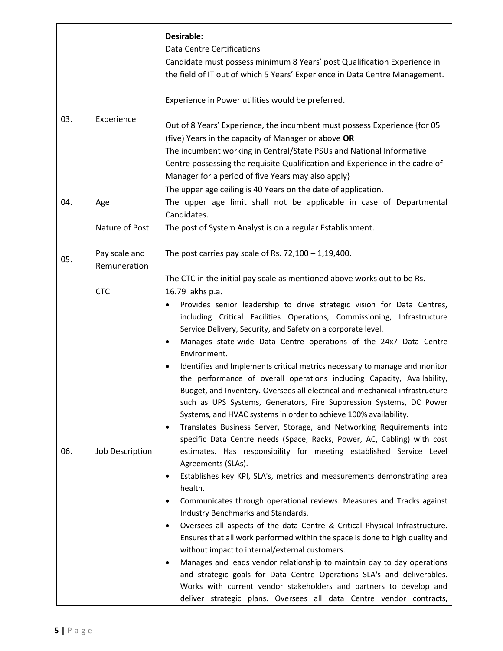|     |                 | Desirable:                                                                                                                                                                                                                                                                                                                                                                                                                                                                                                                                                                                                                                                                                                                                                                                                                                                                                                                                                                                                                                                                                                                                                                                                                                                                                                                                                                                                                                                                                                                                                                                                        |
|-----|-----------------|-------------------------------------------------------------------------------------------------------------------------------------------------------------------------------------------------------------------------------------------------------------------------------------------------------------------------------------------------------------------------------------------------------------------------------------------------------------------------------------------------------------------------------------------------------------------------------------------------------------------------------------------------------------------------------------------------------------------------------------------------------------------------------------------------------------------------------------------------------------------------------------------------------------------------------------------------------------------------------------------------------------------------------------------------------------------------------------------------------------------------------------------------------------------------------------------------------------------------------------------------------------------------------------------------------------------------------------------------------------------------------------------------------------------------------------------------------------------------------------------------------------------------------------------------------------------------------------------------------------------|
|     |                 | <b>Data Centre Certifications</b>                                                                                                                                                                                                                                                                                                                                                                                                                                                                                                                                                                                                                                                                                                                                                                                                                                                                                                                                                                                                                                                                                                                                                                                                                                                                                                                                                                                                                                                                                                                                                                                 |
|     |                 | Candidate must possess minimum 8 Years' post Qualification Experience in                                                                                                                                                                                                                                                                                                                                                                                                                                                                                                                                                                                                                                                                                                                                                                                                                                                                                                                                                                                                                                                                                                                                                                                                                                                                                                                                                                                                                                                                                                                                          |
|     |                 | the field of IT out of which 5 Years' Experience in Data Centre Management.                                                                                                                                                                                                                                                                                                                                                                                                                                                                                                                                                                                                                                                                                                                                                                                                                                                                                                                                                                                                                                                                                                                                                                                                                                                                                                                                                                                                                                                                                                                                       |
|     |                 | Experience in Power utilities would be preferred.                                                                                                                                                                                                                                                                                                                                                                                                                                                                                                                                                                                                                                                                                                                                                                                                                                                                                                                                                                                                                                                                                                                                                                                                                                                                                                                                                                                                                                                                                                                                                                 |
| 03. | Experience      | Out of 8 Years' Experience, the incumbent must possess Experience {for 05                                                                                                                                                                                                                                                                                                                                                                                                                                                                                                                                                                                                                                                                                                                                                                                                                                                                                                                                                                                                                                                                                                                                                                                                                                                                                                                                                                                                                                                                                                                                         |
|     |                 | (five) Years in the capacity of Manager or above OR                                                                                                                                                                                                                                                                                                                                                                                                                                                                                                                                                                                                                                                                                                                                                                                                                                                                                                                                                                                                                                                                                                                                                                                                                                                                                                                                                                                                                                                                                                                                                               |
|     |                 | The incumbent working in Central/State PSUs and National Informative                                                                                                                                                                                                                                                                                                                                                                                                                                                                                                                                                                                                                                                                                                                                                                                                                                                                                                                                                                                                                                                                                                                                                                                                                                                                                                                                                                                                                                                                                                                                              |
|     |                 | Centre possessing the requisite Qualification and Experience in the cadre of                                                                                                                                                                                                                                                                                                                                                                                                                                                                                                                                                                                                                                                                                                                                                                                                                                                                                                                                                                                                                                                                                                                                                                                                                                                                                                                                                                                                                                                                                                                                      |
|     |                 | Manager for a period of five Years may also apply}                                                                                                                                                                                                                                                                                                                                                                                                                                                                                                                                                                                                                                                                                                                                                                                                                                                                                                                                                                                                                                                                                                                                                                                                                                                                                                                                                                                                                                                                                                                                                                |
|     |                 | The upper age ceiling is 40 Years on the date of application.                                                                                                                                                                                                                                                                                                                                                                                                                                                                                                                                                                                                                                                                                                                                                                                                                                                                                                                                                                                                                                                                                                                                                                                                                                                                                                                                                                                                                                                                                                                                                     |
| 04. | Age             | The upper age limit shall not be applicable in case of Departmental<br>Candidates.                                                                                                                                                                                                                                                                                                                                                                                                                                                                                                                                                                                                                                                                                                                                                                                                                                                                                                                                                                                                                                                                                                                                                                                                                                                                                                                                                                                                                                                                                                                                |
|     | Nature of Post  | The post of System Analyst is on a regular Establishment.                                                                                                                                                                                                                                                                                                                                                                                                                                                                                                                                                                                                                                                                                                                                                                                                                                                                                                                                                                                                                                                                                                                                                                                                                                                                                                                                                                                                                                                                                                                                                         |
|     | Pay scale and   | The post carries pay scale of Rs. $72,100 - 1,19,400$ .                                                                                                                                                                                                                                                                                                                                                                                                                                                                                                                                                                                                                                                                                                                                                                                                                                                                                                                                                                                                                                                                                                                                                                                                                                                                                                                                                                                                                                                                                                                                                           |
| 05. | Remuneration    |                                                                                                                                                                                                                                                                                                                                                                                                                                                                                                                                                                                                                                                                                                                                                                                                                                                                                                                                                                                                                                                                                                                                                                                                                                                                                                                                                                                                                                                                                                                                                                                                                   |
|     |                 | The CTC in the initial pay scale as mentioned above works out to be Rs.                                                                                                                                                                                                                                                                                                                                                                                                                                                                                                                                                                                                                                                                                                                                                                                                                                                                                                                                                                                                                                                                                                                                                                                                                                                                                                                                                                                                                                                                                                                                           |
|     | <b>CTC</b>      | 16.79 lakhs p.a.                                                                                                                                                                                                                                                                                                                                                                                                                                                                                                                                                                                                                                                                                                                                                                                                                                                                                                                                                                                                                                                                                                                                                                                                                                                                                                                                                                                                                                                                                                                                                                                                  |
| 06. | Job Description | Provides senior leadership to drive strategic vision for Data Centres,<br>including Critical Facilities Operations, Commissioning, Infrastructure<br>Service Delivery, Security, and Safety on a corporate level.<br>Manages state-wide Data Centre operations of the 24x7 Data Centre<br>$\bullet$<br>Environment.<br>Identifies and Implements critical metrics necessary to manage and monitor<br>$\bullet$<br>the performance of overall operations including Capacity, Availability,<br>Budget, and Inventory. Oversees all electrical and mechanical infrastructure<br>such as UPS Systems, Generators, Fire Suppression Systems, DC Power<br>Systems, and HVAC systems in order to achieve 100% availability.<br>Translates Business Server, Storage, and Networking Requirements into<br>$\bullet$<br>specific Data Centre needs (Space, Racks, Power, AC, Cabling) with cost<br>estimates. Has responsibility for meeting established Service Level<br>Agreements (SLAs).<br>Establishes key KPI, SLA's, metrics and measurements demonstrating area<br>$\bullet$<br>health.<br>Communicates through operational reviews. Measures and Tracks against<br>$\bullet$<br>Industry Benchmarks and Standards.<br>Oversees all aspects of the data Centre & Critical Physical Infrastructure.<br>$\bullet$<br>Ensures that all work performed within the space is done to high quality and<br>without impact to internal/external customers.<br>Manages and leads vendor relationship to maintain day to day operations<br>$\bullet$<br>and strategic goals for Data Centre Operations SLA's and deliverables. |
|     |                 | Works with current vendor stakeholders and partners to develop and<br>deliver strategic plans. Oversees all data Centre vendor contracts,                                                                                                                                                                                                                                                                                                                                                                                                                                                                                                                                                                                                                                                                                                                                                                                                                                                                                                                                                                                                                                                                                                                                                                                                                                                                                                                                                                                                                                                                         |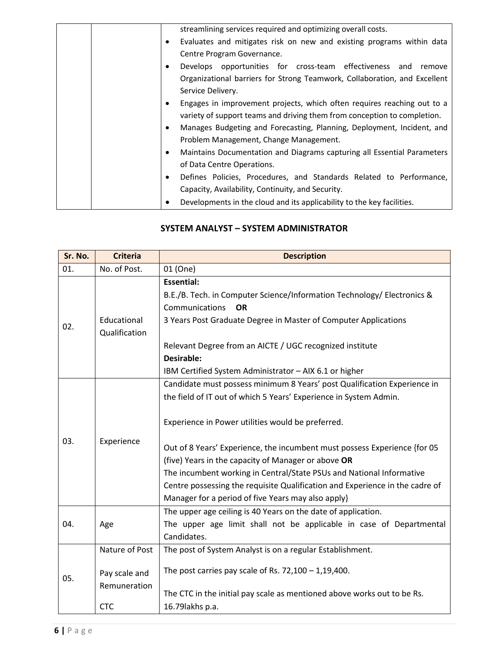|  | streamlining services required and optimizing overall costs.              |
|--|---------------------------------------------------------------------------|
|  | Evaluates and mitigates risk on new and existing programs within data     |
|  | Centre Program Governance.                                                |
|  | Develops opportunities for cross-team effectiveness and<br>remove         |
|  | Organizational barriers for Strong Teamwork, Collaboration, and Excellent |
|  | Service Delivery.                                                         |
|  | Engages in improvement projects, which often requires reaching out to a   |
|  | variety of support teams and driving them from conception to completion.  |
|  | Manages Budgeting and Forecasting, Planning, Deployment, Incident, and    |
|  | Problem Management, Change Management.                                    |
|  | Maintains Documentation and Diagrams capturing all Essential Parameters   |
|  | of Data Centre Operations.                                                |
|  | Defines Policies, Procedures, and Standards Related to Performance,       |
|  | Capacity, Availability, Continuity, and Security.                         |
|  |                                                                           |
|  | Developments in the cloud and its applicability to the key facilities.    |

#### **SYSTEM ANALYST – SYSTEM ADMINISTRATOR**

| Sr. No. | <b>Criteria</b>                                               | <b>Description</b>                                                                                                                                                                                                                                                                                                                                                                                                                                                                                                                                   |
|---------|---------------------------------------------------------------|------------------------------------------------------------------------------------------------------------------------------------------------------------------------------------------------------------------------------------------------------------------------------------------------------------------------------------------------------------------------------------------------------------------------------------------------------------------------------------------------------------------------------------------------------|
| 01.     | No. of Post.                                                  | 01 (One)                                                                                                                                                                                                                                                                                                                                                                                                                                                                                                                                             |
| 02.     | Educational<br>Qualification                                  | <b>Essential:</b><br>B.E./B. Tech. in Computer Science/Information Technology/ Electronics &<br>Communications<br><b>OR</b><br>3 Years Post Graduate Degree in Master of Computer Applications<br>Relevant Degree from an AICTE / UGC recognized institute<br><b>Desirable:</b><br>IBM Certified System Administrator - AIX 6.1 or higher                                                                                                                                                                                                            |
| 03.     | Experience                                                    | Candidate must possess minimum 8 Years' post Qualification Experience in<br>the field of IT out of which 5 Years' Experience in System Admin.<br>Experience in Power utilities would be preferred.<br>Out of 8 Years' Experience, the incumbent must possess Experience {for 05<br>(five) Years in the capacity of Manager or above OR<br>The incumbent working in Central/State PSUs and National Informative<br>Centre possessing the requisite Qualification and Experience in the cadre of<br>Manager for a period of five Years may also apply} |
| 04.     | Age                                                           | The upper age ceiling is 40 Years on the date of application.<br>The upper age limit shall not be applicable in case of Departmental<br>Candidates.                                                                                                                                                                                                                                                                                                                                                                                                  |
| 05.     | Nature of Post<br>Pay scale and<br>Remuneration<br><b>CTC</b> | The post of System Analyst is on a regular Establishment.<br>The post carries pay scale of Rs. $72,100 - 1,19,400$ .<br>The CTC in the initial pay scale as mentioned above works out to be Rs.<br>16.79 lakhs p.a.                                                                                                                                                                                                                                                                                                                                  |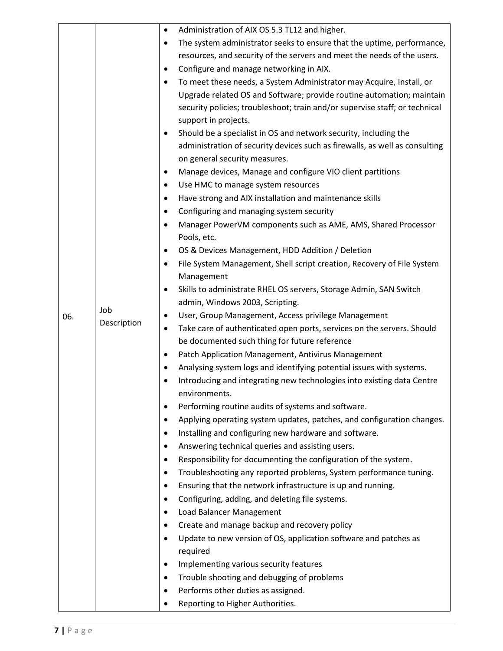|     |             | Administration of AIX OS 5.3 TL12 and higher.<br>$\bullet$                                           |
|-----|-------------|------------------------------------------------------------------------------------------------------|
|     |             | The system administrator seeks to ensure that the uptime, performance,<br>$\bullet$                  |
|     |             | resources, and security of the servers and meet the needs of the users.                              |
|     |             | Configure and manage networking in AIX.<br>$\bullet$                                                 |
|     |             | To meet these needs, a System Administrator may Acquire, Install, or<br>$\bullet$                    |
|     |             | Upgrade related OS and Software; provide routine automation; maintain                                |
|     |             | security policies; troubleshoot; train and/or supervise staff; or technical                          |
|     |             | support in projects.                                                                                 |
|     |             | Should be a specialist in OS and network security, including the<br>٠                                |
|     |             | administration of security devices such as firewalls, as well as consulting                          |
|     |             | on general security measures.                                                                        |
|     |             | Manage devices, Manage and configure VIO client partitions<br>$\bullet$                              |
|     |             | Use HMC to manage system resources<br>٠                                                              |
|     |             | Have strong and AIX installation and maintenance skills<br>$\bullet$                                 |
|     |             | Configuring and managing system security<br>$\bullet$                                                |
|     |             | Manager PowerVM components such as AME, AMS, Shared Processor<br>Pools, etc.                         |
|     |             | OS & Devices Management, HDD Addition / Deletion<br>$\bullet$                                        |
|     |             | File System Management, Shell script creation, Recovery of File System<br>$\bullet$                  |
|     |             | Management                                                                                           |
|     |             | Skills to administrate RHEL OS servers, Storage Admin, SAN Switch<br>$\bullet$                       |
|     |             | admin, Windows 2003, Scripting.                                                                      |
| 06. | Job         | User, Group Management, Access privilege Management<br>$\bullet$                                     |
|     | Description | Take care of authenticated open ports, services on the servers. Should<br>$\bullet$                  |
|     |             | be documented such thing for future reference                                                        |
|     |             | Patch Application Management, Antivirus Management<br>$\bullet$                                      |
|     |             | Analysing system logs and identifying potential issues with systems.<br>$\bullet$                    |
|     |             | Introducing and integrating new technologies into existing data Centre<br>$\bullet$<br>environments. |
|     |             | Performing routine audits of systems and software.<br>٠                                              |
|     |             | Applying operating system updates, patches, and configuration changes.<br>$\bullet$                  |
|     |             | Installing and configuring new hardware and software.<br>$\bullet$                                   |
|     |             | Answering technical queries and assisting users.<br>$\bullet$                                        |
|     |             | Responsibility for documenting the configuration of the system.<br>$\bullet$                         |
|     |             | Troubleshooting any reported problems, System performance tuning.<br>$\bullet$                       |
|     |             | Ensuring that the network infrastructure is up and running.<br>$\bullet$                             |
|     |             | Configuring, adding, and deleting file systems.<br>$\bullet$                                         |
|     |             | Load Balancer Management<br>$\bullet$                                                                |
|     |             | Create and manage backup and recovery policy<br>$\bullet$                                            |
|     |             | Update to new version of OS, application software and patches as<br>$\bullet$                        |
|     |             | required                                                                                             |
|     |             | Implementing various security features<br>$\bullet$                                                  |
|     |             | Trouble shooting and debugging of problems<br>$\bullet$                                              |
|     |             | Performs other duties as assigned.<br>٠                                                              |
|     |             | Reporting to Higher Authorities.                                                                     |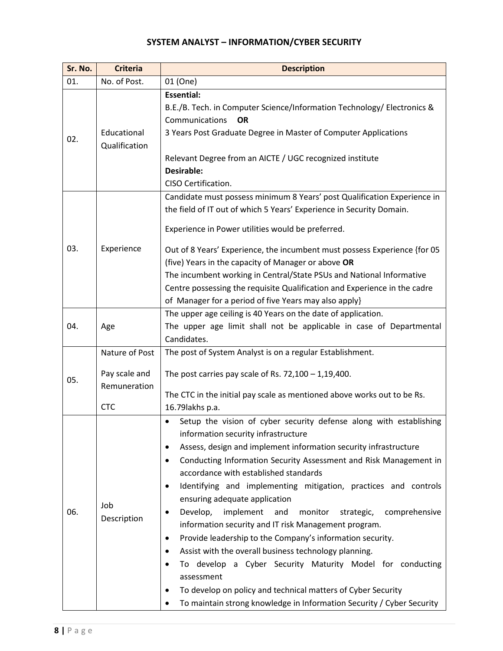## **SYSTEM ANALYST – INFORMATION/CYBER SECURITY**

| Sr. No. | <b>Criteria</b>                                               | <b>Description</b>                                                                                                                                                                                                                                                                                                                                                                                                                                                                                                                                                                                                                                                                                                                                                                                                                                                                                                                                                                                    |
|---------|---------------------------------------------------------------|-------------------------------------------------------------------------------------------------------------------------------------------------------------------------------------------------------------------------------------------------------------------------------------------------------------------------------------------------------------------------------------------------------------------------------------------------------------------------------------------------------------------------------------------------------------------------------------------------------------------------------------------------------------------------------------------------------------------------------------------------------------------------------------------------------------------------------------------------------------------------------------------------------------------------------------------------------------------------------------------------------|
| 01.     | No. of Post.                                                  | 01 (One)                                                                                                                                                                                                                                                                                                                                                                                                                                                                                                                                                                                                                                                                                                                                                                                                                                                                                                                                                                                              |
| 02.     | Educational<br>Qualification                                  | <b>Essential:</b><br>B.E./B. Tech. in Computer Science/Information Technology/ Electronics &<br>Communications<br><b>OR</b><br>3 Years Post Graduate Degree in Master of Computer Applications<br>Relevant Degree from an AICTE / UGC recognized institute<br><b>Desirable:</b><br>CISO Certification.                                                                                                                                                                                                                                                                                                                                                                                                                                                                                                                                                                                                                                                                                                |
| 03.     | Experience                                                    | Candidate must possess minimum 8 Years' post Qualification Experience in<br>the field of IT out of which 5 Years' Experience in Security Domain.<br>Experience in Power utilities would be preferred.<br>Out of 8 Years' Experience, the incumbent must possess Experience {for 05<br>(five) Years in the capacity of Manager or above OR<br>The incumbent working in Central/State PSUs and National Informative<br>Centre possessing the requisite Qualification and Experience in the cadre<br>of Manager for a period of five Years may also apply}                                                                                                                                                                                                                                                                                                                                                                                                                                               |
| 04.     | Age                                                           | The upper age ceiling is 40 Years on the date of application.<br>The upper age limit shall not be applicable in case of Departmental<br>Candidates.                                                                                                                                                                                                                                                                                                                                                                                                                                                                                                                                                                                                                                                                                                                                                                                                                                                   |
| 05.     | Nature of Post<br>Pay scale and<br>Remuneration<br><b>CTC</b> | The post of System Analyst is on a regular Establishment.<br>The post carries pay scale of Rs. $72,100 - 1,19,400$ .<br>The CTC in the initial pay scale as mentioned above works out to be Rs.<br>16.79 lakhs p.a.                                                                                                                                                                                                                                                                                                                                                                                                                                                                                                                                                                                                                                                                                                                                                                                   |
| 06.     | Job<br>Description                                            | Setup the vision of cyber security defense along with establishing<br>$\bullet$<br>information security infrastructure<br>Assess, design and implement information security infrastructure<br>$\bullet$<br>Conducting Information Security Assessment and Risk Management in<br>$\bullet$<br>accordance with established standards<br>Identifying and implementing mitigation, practices and controls<br>$\bullet$<br>ensuring adequate application<br>Develop,<br>implement<br>monitor<br>comprehensive<br>and<br>strategic,<br>$\bullet$<br>information security and IT risk Management program.<br>Provide leadership to the Company's information security.<br>$\bullet$<br>Assist with the overall business technology planning.<br>$\bullet$<br>To develop a Cyber Security Maturity Model for conducting<br>٠<br>assessment<br>To develop on policy and technical matters of Cyber Security<br>$\bullet$<br>To maintain strong knowledge in Information Security / Cyber Security<br>$\bullet$ |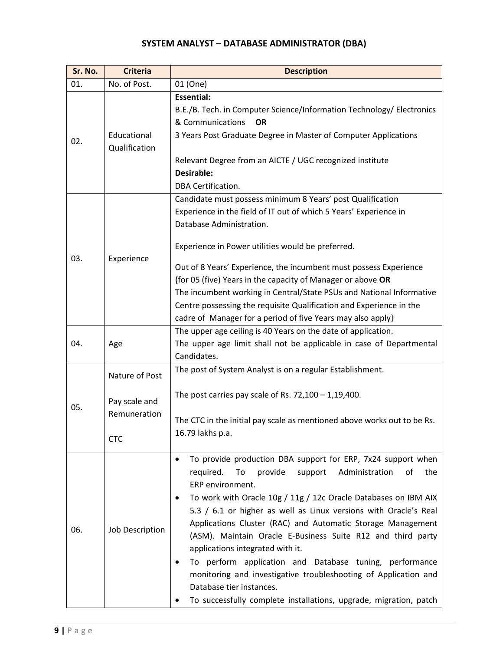# **SYSTEM ANALYST – DATABASE ADMINISTRATOR (DBA)**

| Sr. No. | <b>Criteria</b>                                        | <b>Description</b>                                                                                                                                                                                                                                                                                                                                                                                                                                                                                                                                                                                                                                                                               |  |  |  |
|---------|--------------------------------------------------------|--------------------------------------------------------------------------------------------------------------------------------------------------------------------------------------------------------------------------------------------------------------------------------------------------------------------------------------------------------------------------------------------------------------------------------------------------------------------------------------------------------------------------------------------------------------------------------------------------------------------------------------------------------------------------------------------------|--|--|--|
| 01.     | No. of Post.                                           | 01 (One)                                                                                                                                                                                                                                                                                                                                                                                                                                                                                                                                                                                                                                                                                         |  |  |  |
| 02.     | Educational<br>Qualification                           | <b>Essential:</b><br>B.E./B. Tech. in Computer Science/Information Technology/ Electronics<br>& Communications<br><b>OR</b><br>3 Years Post Graduate Degree in Master of Computer Applications<br>Relevant Degree from an AICTE / UGC recognized institute<br><b>Desirable:</b><br><b>DBA Certification.</b>                                                                                                                                                                                                                                                                                                                                                                                     |  |  |  |
| 03.     | Experience                                             | Candidate must possess minimum 8 Years' post Qualification<br>Experience in the field of IT out of which 5 Years' Experience in<br>Database Administration.<br>Experience in Power utilities would be preferred.<br>Out of 8 Years' Experience, the incumbent must possess Experience<br>{for 05 (five) Years in the capacity of Manager or above OR<br>The incumbent working in Central/State PSUs and National Informative<br>Centre possessing the requisite Qualification and Experience in the<br>cadre of Manager for a period of five Years may also apply}                                                                                                                               |  |  |  |
| 04.     | Age                                                    | The upper age ceiling is 40 Years on the date of application.<br>The upper age limit shall not be applicable in case of Departmental<br>Candidates.                                                                                                                                                                                                                                                                                                                                                                                                                                                                                                                                              |  |  |  |
| 05.     | Nature of Post<br>Pay scale and<br>Remuneration<br>CTC | The post of System Analyst is on a regular Establishment.<br>The post carries pay scale of Rs. $72,100 - 1,19,400$ .<br>The CTC in the initial pay scale as mentioned above works out to be Rs.<br>16.79 lakhs p.a.                                                                                                                                                                                                                                                                                                                                                                                                                                                                              |  |  |  |
| 06.     | Job Description                                        | To provide production DBA support for ERP, 7x24 support when<br>provide<br>required.<br>To<br>support<br>Administration<br>the<br>οf<br>ERP environment.<br>To work with Oracle 10g / 11g / 12c Oracle Databases on IBM AIX<br>5.3 / 6.1 or higher as well as Linux versions with Oracle's Real<br>Applications Cluster (RAC) and Automatic Storage Management<br>(ASM). Maintain Oracle E-Business Suite R12 and third party<br>applications integrated with it.<br>To perform application and Database tuning, performance<br>monitoring and investigative troubleshooting of Application and<br>Database tier instances.<br>To successfully complete installations, upgrade, migration, patch |  |  |  |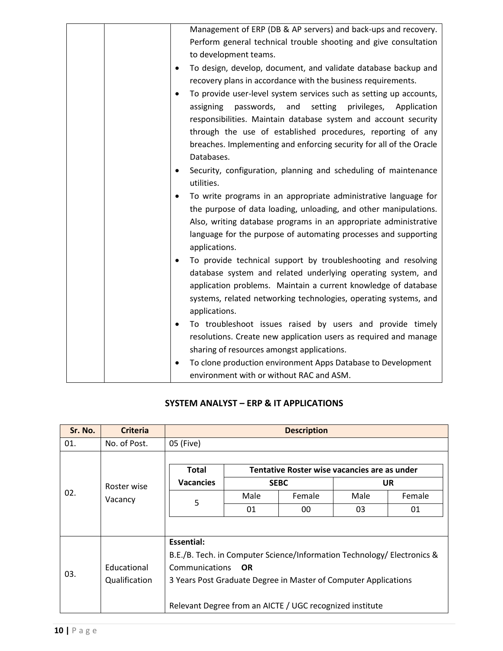| Management of ERP (DB & AP servers) and back-ups and recovery.               |
|------------------------------------------------------------------------------|
| Perform general technical trouble shooting and give consultation             |
|                                                                              |
| to development teams.                                                        |
| To design, develop, document, and validate database backup and               |
| recovery plans in accordance with the business requirements.                 |
| To provide user-level system services such as setting up accounts,           |
| passwords, and<br>setting privileges, Application<br>assigning               |
| responsibilities. Maintain database system and account security              |
| through the use of established procedures, reporting of any                  |
| breaches. Implementing and enforcing security for all of the Oracle          |
| Databases.                                                                   |
| Security, configuration, planning and scheduling of maintenance<br>$\bullet$ |
| utilities.                                                                   |
| To write programs in an appropriate administrative language for              |
| the purpose of data loading, unloading, and other manipulations.             |
| Also, writing database programs in an appropriate administrative             |
| language for the purpose of automating processes and supporting              |
| applications.                                                                |
| To provide technical support by troubleshooting and resolving                |
| database system and related underlying operating system, and                 |
| application problems. Maintain a current knowledge of database               |
| systems, related networking technologies, operating systems, and             |
| applications.                                                                |
| To troubleshoot issues raised by users and provide timely                    |
| resolutions. Create new application users as required and manage             |
| sharing of resources amongst applications.                                   |
| To clone production environment Apps Database to Development                 |
| environment with or without RAC and ASM.                                     |

#### **SYSTEM ANALYST – ERP & IT APPLICATIONS**

| Sr. No. | <b>Criteria</b>        | <b>Description</b>                                                      |             |        |      |           |  |
|---------|------------------------|-------------------------------------------------------------------------|-------------|--------|------|-----------|--|
| 01.     | No. of Post.           | 05 (Five)                                                               |             |        |      |           |  |
|         |                        |                                                                         |             |        |      |           |  |
|         | Roster wise<br>Vacancy | Tentative Roster wise vacancies are as under<br><b>Total</b>            |             |        |      |           |  |
|         |                        | <b>Vacancies</b>                                                        | <b>SEBC</b> |        |      | <b>UR</b> |  |
| 02.     |                        | 5                                                                       | Male        | Female | Male | Female    |  |
|         |                        |                                                                         | 01          | 00     | 03   | 01        |  |
|         |                        |                                                                         |             |        |      |           |  |
|         | Essential:             |                                                                         |             |        |      |           |  |
| 03.     |                        | B.E./B. Tech. in Computer Science/Information Technology/ Electronics & |             |        |      |           |  |
|         | Educational            | Communications<br><b>OR</b>                                             |             |        |      |           |  |
|         | Qualification          | 3 Years Post Graduate Degree in Master of Computer Applications         |             |        |      |           |  |
|         |                        | Relevant Degree from an AICTE / UGC recognized institute                |             |        |      |           |  |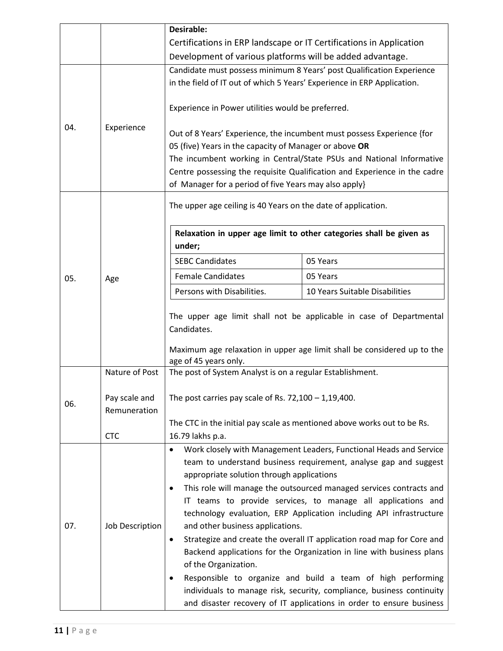|                                      |                 | <b>Desirable:</b>                                                                                                                                                                      |                                                                           |  |  |  |
|--------------------------------------|-----------------|----------------------------------------------------------------------------------------------------------------------------------------------------------------------------------------|---------------------------------------------------------------------------|--|--|--|
|                                      |                 | Certifications in ERP landscape or IT Certifications in Application                                                                                                                    |                                                                           |  |  |  |
|                                      |                 | Development of various platforms will be added advantage.                                                                                                                              |                                                                           |  |  |  |
|                                      |                 | Candidate must possess minimum 8 Years' post Qualification Experience                                                                                                                  |                                                                           |  |  |  |
|                                      |                 | in the field of IT out of which 5 Years' Experience in ERP Application.                                                                                                                |                                                                           |  |  |  |
|                                      |                 | Experience in Power utilities would be preferred.                                                                                                                                      |                                                                           |  |  |  |
| 04.                                  | Experience      | Out of 8 Years' Experience, the incumbent must possess Experience {for                                                                                                                 |                                                                           |  |  |  |
|                                      |                 | 05 (five) Years in the capacity of Manager or above OR                                                                                                                                 | The incumbent working in Central/State PSUs and National Informative      |  |  |  |
|                                      |                 |                                                                                                                                                                                        | Centre possessing the requisite Qualification and Experience in the cadre |  |  |  |
|                                      |                 | of Manager for a period of five Years may also apply}                                                                                                                                  |                                                                           |  |  |  |
|                                      |                 | The upper age ceiling is 40 Years on the date of application.                                                                                                                          |                                                                           |  |  |  |
|                                      |                 | Relaxation in upper age limit to other categories shall be given as<br>under;                                                                                                          |                                                                           |  |  |  |
|                                      |                 | <b>SEBC Candidates</b>                                                                                                                                                                 | 05 Years                                                                  |  |  |  |
| 05.                                  | Age             | <b>Female Candidates</b>                                                                                                                                                               | 05 Years                                                                  |  |  |  |
|                                      |                 | Persons with Disabilities.                                                                                                                                                             | 10 Years Suitable Disabilities                                            |  |  |  |
|                                      |                 | The upper age limit shall not be applicable in case of Departmental<br>Candidates.<br>Maximum age relaxation in upper age limit shall be considered up to the<br>age of 45 years only. |                                                                           |  |  |  |
|                                      | Nature of Post  | The post of System Analyst is on a regular Establishment.                                                                                                                              |                                                                           |  |  |  |
| Pay scale and<br>06.<br>Remuneration |                 | The post carries pay scale of Rs. $72,100 - 1,19,400$ .                                                                                                                                |                                                                           |  |  |  |
|                                      |                 | The CTC in the initial pay scale as mentioned above works out to be Rs.                                                                                                                |                                                                           |  |  |  |
|                                      | <b>CTC</b>      | 16.79 lakhs p.a.                                                                                                                                                                       |                                                                           |  |  |  |
|                                      |                 | Work closely with Management Leaders, Functional Heads and Service<br>٠                                                                                                                |                                                                           |  |  |  |
|                                      |                 | team to understand business requirement, analyse gap and suggest                                                                                                                       |                                                                           |  |  |  |
|                                      |                 | appropriate solution through applications                                                                                                                                              |                                                                           |  |  |  |
|                                      |                 | This role will manage the outsourced managed services contracts and<br>$\bullet$<br>IT teams to provide services, to manage all applications and                                       |                                                                           |  |  |  |
|                                      | Job Description | technology evaluation, ERP Application including API infrastructure                                                                                                                    |                                                                           |  |  |  |
| 07.                                  |                 | and other business applications.                                                                                                                                                       |                                                                           |  |  |  |
|                                      |                 | Strategize and create the overall IT application road map for Core and<br>$\bullet$                                                                                                    |                                                                           |  |  |  |
|                                      |                 | Backend applications for the Organization in line with business plans                                                                                                                  |                                                                           |  |  |  |
|                                      |                 | of the Organization.                                                                                                                                                                   |                                                                           |  |  |  |
|                                      |                 | Responsible to organize and build a team of high performing<br>$\bullet$                                                                                                               |                                                                           |  |  |  |
|                                      |                 | individuals to manage risk, security, compliance, business continuity                                                                                                                  |                                                                           |  |  |  |
|                                      |                 | and disaster recovery of IT applications in order to ensure business                                                                                                                   |                                                                           |  |  |  |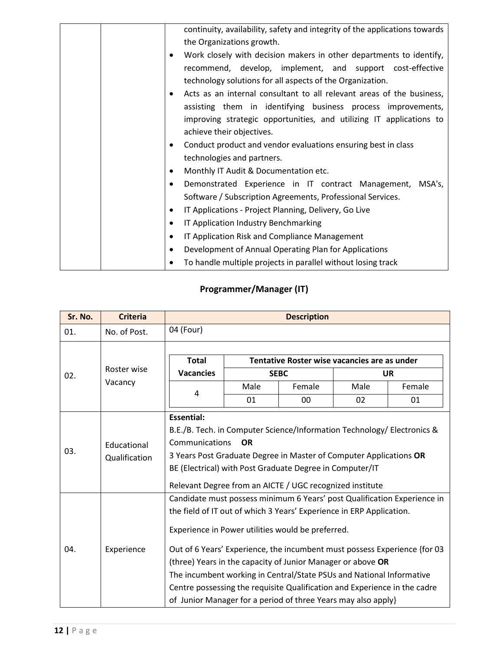|   | continuity, availability, safety and integrity of the applications towards |
|---|----------------------------------------------------------------------------|
|   | the Organizations growth.                                                  |
| ٠ | Work closely with decision makers in other departments to identify,        |
|   | recommend, develop, implement, and support cost-effective                  |
|   | technology solutions for all aspects of the Organization.                  |
| ٠ | Acts as an internal consultant to all relevant areas of the business,      |
|   | assisting them in identifying business process improvements,               |
|   | improving strategic opportunities, and utilizing IT applications to        |
|   | achieve their objectives.                                                  |
| ٠ | Conduct product and vendor evaluations ensuring best in class              |
|   | technologies and partners.                                                 |
| ٠ | Monthly IT Audit & Documentation etc.                                      |
| ٠ | Demonstrated Experience in IT contract Management, MSA's,                  |
|   | Software / Subscription Agreements, Professional Services.                 |
| ٠ | IT Applications - Project Planning, Delivery, Go Live                      |
| ٠ | IT Application Industry Benchmarking                                       |
| ٠ | IT Application Risk and Compliance Management                              |
| ٠ | Development of Annual Operating Plan for Applications                      |
|   | To handle multiple projects in parallel without losing track               |
|   |                                                                            |

## **Programmer/Manager (IT)**

| Sr. No. | <b>Criteria</b>              | <b>Description</b>                                                                                                                                                                                                                                                                                                                                                                                                                                                                                                                                                      |      |        |           |        |
|---------|------------------------------|-------------------------------------------------------------------------------------------------------------------------------------------------------------------------------------------------------------------------------------------------------------------------------------------------------------------------------------------------------------------------------------------------------------------------------------------------------------------------------------------------------------------------------------------------------------------------|------|--------|-----------|--------|
| 01.     | No. of Post.                 | 04 (Four)                                                                                                                                                                                                                                                                                                                                                                                                                                                                                                                                                               |      |        |           |        |
|         | Roster wise                  | <b>Total</b><br>Tentative Roster wise vacancies are as under                                                                                                                                                                                                                                                                                                                                                                                                                                                                                                            |      |        |           |        |
| 02.     |                              | <b>Vacancies</b><br><b>SEBC</b>                                                                                                                                                                                                                                                                                                                                                                                                                                                                                                                                         |      |        | <b>UR</b> |        |
|         | Vacancy                      |                                                                                                                                                                                                                                                                                                                                                                                                                                                                                                                                                                         | Male | Female | Male      | Female |
|         |                              | 4                                                                                                                                                                                                                                                                                                                                                                                                                                                                                                                                                                       | 01   | 00     | 02        | 01     |
| 03.     | Educational<br>Qualification | <b>Essential:</b><br>B.E./B. Tech. in Computer Science/Information Technology/ Electronics &<br>Communications<br><b>OR</b><br>3 Years Post Graduate Degree in Master of Computer Applications OR<br>BE (Electrical) with Post Graduate Degree in Computer/IT<br>Relevant Degree from an AICTE / UGC recognized institute                                                                                                                                                                                                                                               |      |        |           |        |
| 04.     | Experience                   | Candidate must possess minimum 6 Years' post Qualification Experience in<br>the field of IT out of which 3 Years' Experience in ERP Application.<br>Experience in Power utilities would be preferred.<br>Out of 6 Years' Experience, the incumbent must possess Experience {for 03<br>(three) Years in the capacity of Junior Manager or above OR<br>The incumbent working in Central/State PSUs and National Informative<br>Centre possessing the requisite Qualification and Experience in the cadre<br>of Junior Manager for a period of three Years may also apply} |      |        |           |        |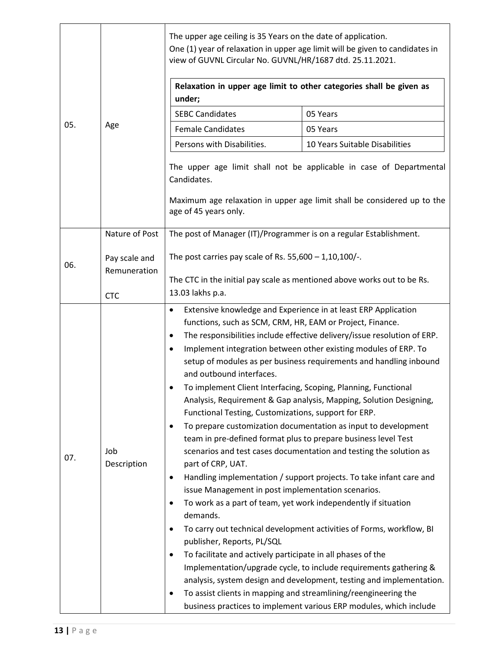|     | Age                                                                                       | The upper age ceiling is 35 Years on the date of application.<br>One (1) year of relaxation in upper age limit will be given to candidates in<br>view of GUVNL Circular No. GUVNL/HR/1687 dtd. 25.11.2021.<br>Relaxation in upper age limit to other categories shall be given as                                                                                                                                                                                                                                                                                                                                                                                                                                                                                                                                                                                                                                                                                                                                                                                                                                                                                                                                                                                                                                                                                                                                                                                                                                                                                             |                                |  |  |  |  |
|-----|-------------------------------------------------------------------------------------------|-------------------------------------------------------------------------------------------------------------------------------------------------------------------------------------------------------------------------------------------------------------------------------------------------------------------------------------------------------------------------------------------------------------------------------------------------------------------------------------------------------------------------------------------------------------------------------------------------------------------------------------------------------------------------------------------------------------------------------------------------------------------------------------------------------------------------------------------------------------------------------------------------------------------------------------------------------------------------------------------------------------------------------------------------------------------------------------------------------------------------------------------------------------------------------------------------------------------------------------------------------------------------------------------------------------------------------------------------------------------------------------------------------------------------------------------------------------------------------------------------------------------------------------------------------------------------------|--------------------------------|--|--|--|--|
| 05. |                                                                                           | under;                                                                                                                                                                                                                                                                                                                                                                                                                                                                                                                                                                                                                                                                                                                                                                                                                                                                                                                                                                                                                                                                                                                                                                                                                                                                                                                                                                                                                                                                                                                                                                        |                                |  |  |  |  |
|     |                                                                                           | <b>SEBC Candidates</b>                                                                                                                                                                                                                                                                                                                                                                                                                                                                                                                                                                                                                                                                                                                                                                                                                                                                                                                                                                                                                                                                                                                                                                                                                                                                                                                                                                                                                                                                                                                                                        | 05 Years                       |  |  |  |  |
|     |                                                                                           | <b>Female Candidates</b>                                                                                                                                                                                                                                                                                                                                                                                                                                                                                                                                                                                                                                                                                                                                                                                                                                                                                                                                                                                                                                                                                                                                                                                                                                                                                                                                                                                                                                                                                                                                                      | 05 Years                       |  |  |  |  |
|     |                                                                                           | Persons with Disabilities.                                                                                                                                                                                                                                                                                                                                                                                                                                                                                                                                                                                                                                                                                                                                                                                                                                                                                                                                                                                                                                                                                                                                                                                                                                                                                                                                                                                                                                                                                                                                                    | 10 Years Suitable Disabilities |  |  |  |  |
|     |                                                                                           | The upper age limit shall not be applicable in case of Departmental<br>Candidates.<br>Maximum age relaxation in upper age limit shall be considered up to the<br>age of 45 years only.                                                                                                                                                                                                                                                                                                                                                                                                                                                                                                                                                                                                                                                                                                                                                                                                                                                                                                                                                                                                                                                                                                                                                                                                                                                                                                                                                                                        |                                |  |  |  |  |
|     | Nature of Post                                                                            | The post of Manager (IT)/Programmer is on a regular Establishment.                                                                                                                                                                                                                                                                                                                                                                                                                                                                                                                                                                                                                                                                                                                                                                                                                                                                                                                                                                                                                                                                                                                                                                                                                                                                                                                                                                                                                                                                                                            |                                |  |  |  |  |
| 06. | The post carries pay scale of Rs. $55,600 - 1,10,100/-.$<br>Pay scale and<br>Remuneration |                                                                                                                                                                                                                                                                                                                                                                                                                                                                                                                                                                                                                                                                                                                                                                                                                                                                                                                                                                                                                                                                                                                                                                                                                                                                                                                                                                                                                                                                                                                                                                               |                                |  |  |  |  |
|     | <b>CTC</b>                                                                                |                                                                                                                                                                                                                                                                                                                                                                                                                                                                                                                                                                                                                                                                                                                                                                                                                                                                                                                                                                                                                                                                                                                                                                                                                                                                                                                                                                                                                                                                                                                                                                               |                                |  |  |  |  |
| 07. | Job<br>Description                                                                        | The CTC in the initial pay scale as mentioned above works out to be Rs.<br>13.03 lakhs p.a.<br>Extensive knowledge and Experience in at least ERP Application<br>$\bullet$<br>functions, such as SCM, CRM, HR, EAM or Project, Finance.<br>The responsibilities include effective delivery/issue resolution of ERP.<br>$\bullet$<br>Implement integration between other existing modules of ERP. To<br>$\bullet$<br>setup of modules as per business requirements and handling inbound<br>and outbound interfaces.<br>To implement Client Interfacing, Scoping, Planning, Functional<br>Analysis, Requirement & Gap analysis, Mapping, Solution Designing,<br>Functional Testing, Customizations, support for ERP.<br>To prepare customization documentation as input to development<br>$\bullet$<br>team in pre-defined format plus to prepare business level Test<br>scenarios and test cases documentation and testing the solution as<br>part of CRP, UAT.<br>Handling implementation / support projects. To take infant care and<br>٠<br>issue Management in post implementation scenarios.<br>To work as a part of team, yet work independently if situation<br>٠<br>demands.<br>To carry out technical development activities of Forms, workflow, BI<br>publisher, Reports, PL/SQL<br>To facilitate and actively participate in all phases of the<br>Implementation/upgrade cycle, to include requirements gathering &<br>analysis, system design and development, testing and implementation.<br>To assist clients in mapping and streamlining/reengineering the<br>٠ |                                |  |  |  |  |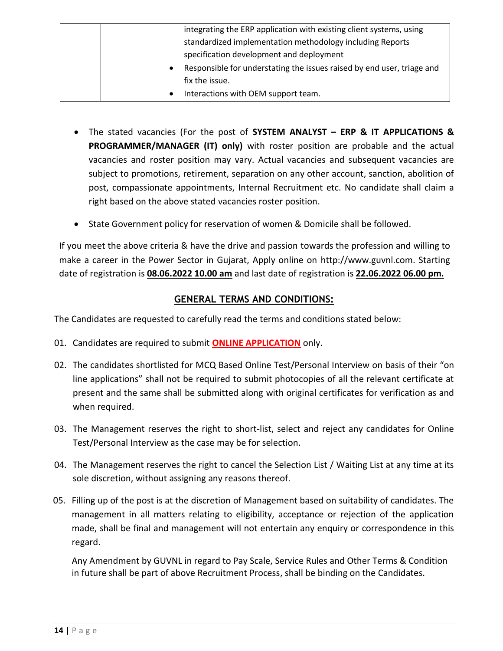| integrating the ERP application with existing client systems, using    |
|------------------------------------------------------------------------|
| standardized implementation methodology including Reports              |
| specification development and deployment                               |
| Responsible for understating the issues raised by end user, triage and |
| fix the issue.                                                         |
| Interactions with OEM support team.                                    |

- The stated vacancies (For the post of **SYSTEM ANALYST – ERP & IT APPLICATIONS & PROGRAMMER/MANAGER (IT) only)** with roster position are probable and the actual vacancies and roster position may vary. Actual vacancies and subsequent vacancies are subject to promotions, retirement, separation on any other account, sanction, abolition of post, compassionate appointments, Internal Recruitment etc. No candidate shall claim a right based on the above stated vacancies roster position.
- State Government policy for reservation of women & Domicile shall be followed.

If you meet the above criteria & have the drive and passion towards the profession and willing to make a career in the Power Sector in Gujarat, Apply online on http://www.guvnl.com. Starting date of registration is **08.06.2022 10.00 am** and last date of registration is **22.06.2022 06.00 pm.**

### **GENERAL TERMS AND CONDITIONS:**

The Candidates are requested to carefully read the terms and conditions stated below:

- 01. Candidates are required to submit **ONLINE APPLICATION** only.
- 02. The candidates shortlisted for MCQ Based Online Test/Personal Interview on basis of their "on line applications" shall not be required to submit photocopies of all the relevant certificate at present and the same shall be submitted along with original certificates for verification as and when required.
- 03. The Management reserves the right to short-list, select and reject any candidates for Online Test/Personal Interview as the case may be for selection.
- 04. The Management reserves the right to cancel the Selection List / Waiting List at any time at its sole discretion, without assigning any reasons thereof.
- 05. Filling up of the post is at the discretion of Management based on suitability of candidates. The management in all matters relating to eligibility, acceptance or rejection of the application made, shall be final and management will not entertain any enquiry or correspondence in this regard.

Any Amendment by GUVNL in regard to Pay Scale, Service Rules and Other Terms & Condition in future shall be part of above Recruitment Process, shall be binding on the Candidates.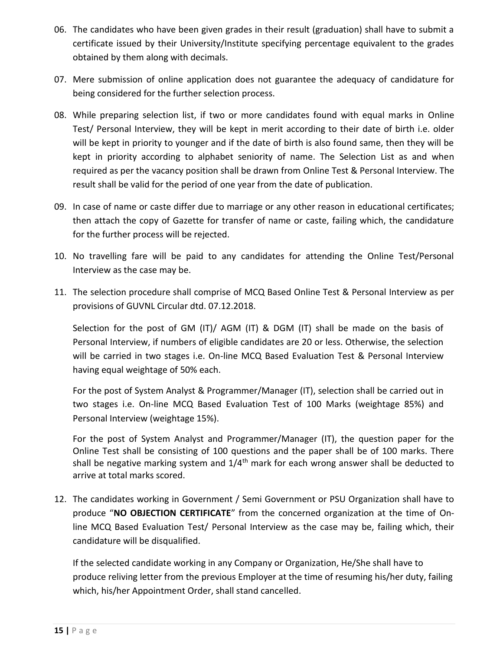- 06. The candidates who have been given grades in their result (graduation) shall have to submit a certificate issued by their University/Institute specifying percentage equivalent to the grades obtained by them along with decimals.
- 07. Mere submission of online application does not guarantee the adequacy of candidature for being considered for the further selection process.
- 08. While preparing selection list, if two or more candidates found with equal marks in Online Test/ Personal Interview, they will be kept in merit according to their date of birth i.e. older will be kept in priority to younger and if the date of birth is also found same, then they will be kept in priority according to alphabet seniority of name. The Selection List as and when required as per the vacancy position shall be drawn from Online Test & Personal Interview. The result shall be valid for the period of one year from the date of publication.
- 09. In case of name or caste differ due to marriage or any other reason in educational certificates; then attach the copy of Gazette for transfer of name or caste, failing which, the candidature for the further process will be rejected.
- 10. No travelling fare will be paid to any candidates for attending the Online Test/Personal Interview as the case may be.
- 11. The selection procedure shall comprise of MCQ Based Online Test & Personal Interview as per provisions of GUVNL Circular dtd. 07.12.2018.

Selection for the post of GM (IT)/ AGM (IT) & DGM (IT) shall be made on the basis of Personal Interview, if numbers of eligible candidates are 20 or less. Otherwise, the selection will be carried in two stages i.e. On-line MCQ Based Evaluation Test & Personal Interview having equal weightage of 50% each.

For the post of System Analyst & Programmer/Manager (IT), selection shall be carried out in two stages i.e. On-line MCQ Based Evaluation Test of 100 Marks (weightage 85%) and Personal Interview (weightage 15%).

For the post of System Analyst and Programmer/Manager (IT), the question paper for the Online Test shall be consisting of 100 questions and the paper shall be of 100 marks. There shall be negative marking system and  $1/4<sup>th</sup>$  mark for each wrong answer shall be deducted to arrive at total marks scored.

12. The candidates working in Government / Semi Government or PSU Organization shall have to produce "**NO OBJECTION CERTIFICATE**" from the concerned organization at the time of Online MCQ Based Evaluation Test/ Personal Interview as the case may be, failing which, their candidature will be disqualified.

If the selected candidate working in any Company or Organization, He/She shall have to produce reliving letter from the previous Employer at the time of resuming his/her duty, failing which, his/her Appointment Order, shall stand cancelled.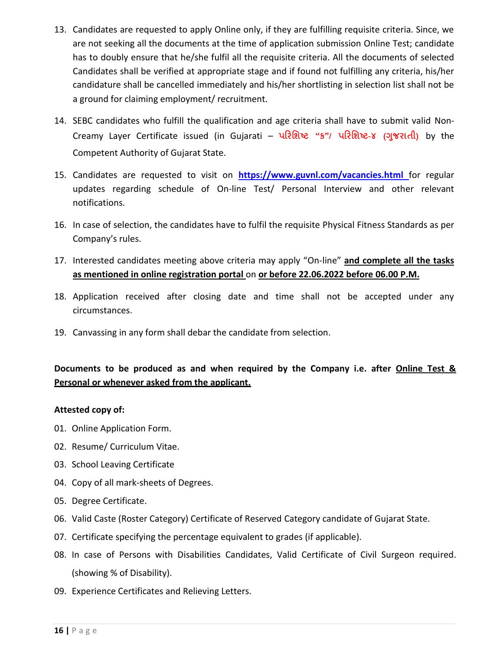- 13. Candidates are requested to apply Online only, if they are fulfilling requisite criteria. Since, we are not seeking all the documents at the time of application submission Online Test; candidate has to doubly ensure that he/she fulfil all the requisite criteria. All the documents of selected Candidates shall be verified at appropriate stage and if found not fulfilling any criteria, his/her candidature shall be cancelled immediately and his/her shortlisting in selection list shall not be a ground for claiming employment/ recruitment.
- 14. SEBC candidates who fulfill the qualification and age criteria shall have to submit valid Non-Creamy Layer Certificate issued (in Gujarati – **પરિશિષ્ટ "ક"/ પરિશિષ્ટ-૪ (ગજુ િાતી)** by the Competent Authority of Gujarat State.
- 15. Candidates are requested to visit on **[https://www.guvnl.com/vacancies.html](http://www.guvnl.com/guvnl/vacancies.aspx)** for regular updates regarding schedule of On-line Test/ Personal Interview and other relevant notifications.
- 16. In case of selection, the candidates have to fulfil the requisite Physical Fitness Standards as per Company's rules.
- 17. Interested candidates meeting above criteria may apply "On-line" **and complete all the tasks as mentioned in online registration portal** on **or before 22.06.2022 before 06.00 P.M.**
- 18. Application received after closing date and time shall not be accepted under any circumstances.
- 19. Canvassing in any form shall debar the candidate from selection.

### **Documents to be produced as and when required by the Company i.e. after Online Test & Personal or whenever asked from the applicant.**

#### **Attested copy of:**

- 01. Online Application Form.
- 02. Resume/ Curriculum Vitae.
- 03. School Leaving Certificate
- 04. Copy of all mark-sheets of Degrees.
- 05. Degree Certificate.
- 06. Valid Caste (Roster Category) Certificate of Reserved Category candidate of Gujarat State.
- 07. Certificate specifying the percentage equivalent to grades (if applicable).
- 08. In case of Persons with Disabilities Candidates, Valid Certificate of Civil Surgeon required. (showing % of Disability).
- 09. Experience Certificates and Relieving Letters.